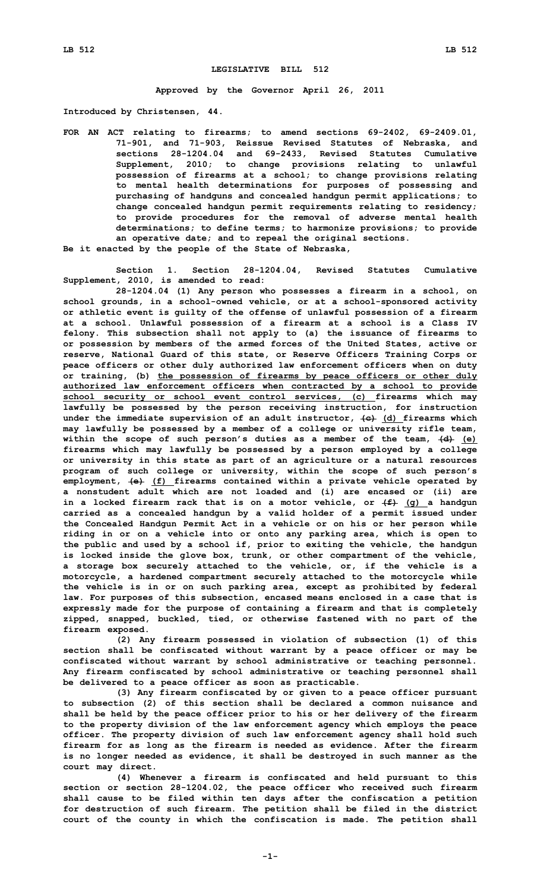## **LEGISLATIVE BILL 512**

**Approved by the Governor April 26, 2011**

**Introduced by Christensen, 44.**

**FOR AN ACT relating to firearms; to amend sections 69-2402, 69-2409.01, 71-901, and 71-903, Reissue Revised Statutes of Nebraska, and sections 28-1204.04 and 69-2433, Revised Statutes Cumulative Supplement, 2010; to change provisions relating to unlawful possession of firearms at <sup>a</sup> school; to change provisions relating to mental health determinations for purposes of possessing and purchasing of handguns and concealed handgun permit applications; to change concealed handgun permit requirements relating to residency; to provide procedures for the removal of adverse mental health determinations; to define terms; to harmonize provisions; to provide an operative date; and to repeal the original sections. Be it enacted by the people of the State of Nebraska,**

**Section 1. Section 28-1204.04, Revised Statutes Cumulative Supplement, 2010, is amended to read:**

**28-1204.04 (1) Any person who possesses <sup>a</sup> firearm in <sup>a</sup> school, on school grounds, in <sup>a</sup> school-owned vehicle, or at <sup>a</sup> school-sponsored activity or athletic event is guilty of the offense of unlawful possession of <sup>a</sup> firearm at <sup>a</sup> school. Unlawful possession of <sup>a</sup> firearm at <sup>a</sup> school is <sup>a</sup> Class IV felony. This subsection shall not apply to (a) the issuance of firearms to or possession by members of the armed forces of the United States, active or reserve, National Guard of this state, or Reserve Officers Training Corps or peace officers or other duly authorized law enforcement officers when on duty or training, (b) the possession of firearms by peace officers or other duly authorized law enforcement officers when contracted by <sup>a</sup> school to provide school security or school event control services, (c) firearms which may lawfully be possessed by the person receiving instruction, for instruction under the immediate supervision of an adult instructor, (c) (d) firearms which may lawfully be possessed by <sup>a</sup> member of <sup>a</sup> college or university rifle team, within the scope of such person's duties as <sup>a</sup> member of the team, (d) (e) firearms which may lawfully be possessed by <sup>a</sup> person employed by <sup>a</sup> college or university in this state as part of an agriculture or <sup>a</sup> natural resources program of such college or university, within the scope of such person's employment, (e) (f) firearms contained within <sup>a</sup> private vehicle operated by <sup>a</sup> nonstudent adult which are not loaded and (i) are encased or (ii) are in <sup>a</sup> locked firearm rack that is on <sup>a</sup> motor vehicle, or (f) (g) <sup>a</sup> handgun carried as <sup>a</sup> concealed handgun by <sup>a</sup> valid holder of <sup>a</sup> permit issued under the Concealed Handgun Permit Act in <sup>a</sup> vehicle or on his or her person while riding in or on <sup>a</sup> vehicle into or onto any parking area, which is open to the public and used by <sup>a</sup> school if, prior to exiting the vehicle, the handgun is locked inside the glove box, trunk, or other compartment of the vehicle, <sup>a</sup> storage box securely attached to the vehicle, or, if the vehicle is <sup>a</sup> motorcycle, <sup>a</sup> hardened compartment securely attached to the motorcycle while the vehicle is in or on such parking area, except as prohibited by federal law. For purposes of this subsection, encased means enclosed in <sup>a</sup> case that is expressly made for the purpose of containing <sup>a</sup> firearm and that is completely zipped, snapped, buckled, tied, or otherwise fastened with no part of the firearm exposed.**

**(2) Any firearm possessed in violation of subsection (1) of this section shall be confiscated without warrant by <sup>a</sup> peace officer or may be confiscated without warrant by school administrative or teaching personnel. Any firearm confiscated by school administrative or teaching personnel shall be delivered to <sup>a</sup> peace officer as soon as practicable.**

**(3) Any firearm confiscated by or given to <sup>a</sup> peace officer pursuant to subsection (2) of this section shall be declared <sup>a</sup> common nuisance and shall be held by the peace officer prior to his or her delivery of the firearm to the property division of the law enforcement agency which employs the peace officer. The property division of such law enforcement agency shall hold such firearm for as long as the firearm is needed as evidence. After the firearm is no longer needed as evidence, it shall be destroyed in such manner as the court may direct.**

**(4) Whenever <sup>a</sup> firearm is confiscated and held pursuant to this section or section 28-1204.02, the peace officer who received such firearm shall cause to be filed within ten days after the confiscation <sup>a</sup> petition for destruction of such firearm. The petition shall be filed in the district court of the county in which the confiscation is made. The petition shall**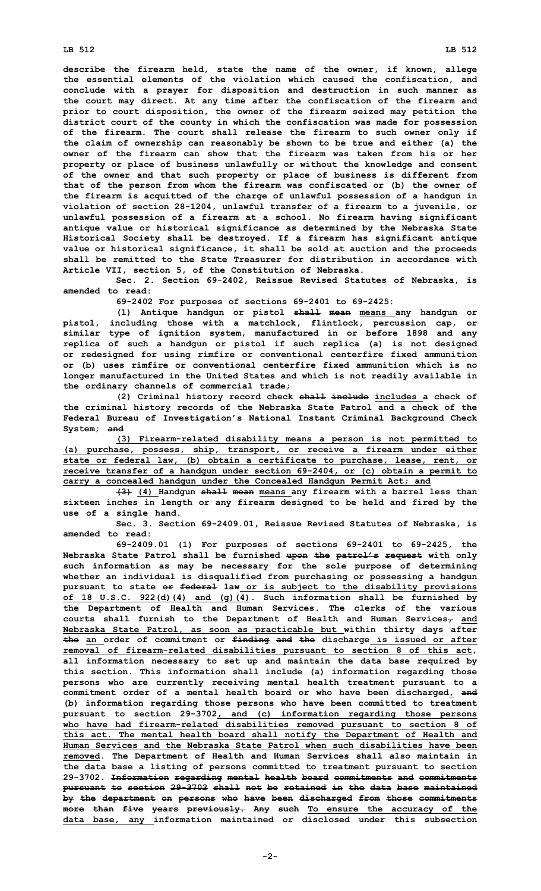## **LB 512 LB 512**

**describe the firearm held, state the name of the owner, if known, allege the essential elements of the violation which caused the confiscation, and conclude with <sup>a</sup> prayer for disposition and destruction in such manner as the court may direct. At any time after the confiscation of the firearm and prior to court disposition, the owner of the firearm seized may petition the district court of the county in which the confiscation was made for possession of the firearm. The court shall release the firearm to such owner only if the claim of ownership can reasonably be shown to be true and either (a) the owner of the firearm can show that the firearm was taken from his or her property or place of business unlawfully or without the knowledge and consent of the owner and that such property or place of business is different from that of the person from whom the firearm was confiscated or (b) the owner of the firearm is acquitted of the charge of unlawful possession of <sup>a</sup> handgun in violation of section 28-1204, unlawful transfer of <sup>a</sup> firearm to <sup>a</sup> juvenile, or unlawful possession of <sup>a</sup> firearm at <sup>a</sup> school. No firearm having significant antique value or historical significance as determined by the Nebraska State Historical Society shall be destroyed. If <sup>a</sup> firearm has significant antique value or historical significance, it shall be sold at auction and the proceeds shall be remitted to the State Treasurer for distribution in accordance with Article VII, section 5, of the Constitution of Nebraska.**

**Sec. 2. Section 69-2402, Reissue Revised Statutes of Nebraska, is amended to read:**

**69-2402 For purposes of sections 69-2401 to 69-2425:**

**(1) Antique handgun or pistol shall mean means any handgun or pistol, including those with <sup>a</sup> matchlock, flintlock, percussion cap, or similar type of ignition system, manufactured in or before 1898 and any replica of such <sup>a</sup> handgun or pistol if such replica (a) is not designed or redesigned for using rimfire or conventional centerfire fixed ammunition or (b) uses rimfire or conventional centerfire fixed ammunition which is no longer manufactured in the United States and which is not readily available in the ordinary channels of commercial trade;**

**(2) Criminal history record check shall include includes <sup>a</sup> check of the criminal history records of the Nebraska State Patrol and <sup>a</sup> check of the Federal Bureau of Investigation's National Instant Criminal Background Check System; and**

**(3) Firearm-related disability means <sup>a</sup> person is not permitted to (a) purchase, possess, ship, transport, or receive <sup>a</sup> firearm under either state or federal law, (b) obtain <sup>a</sup> certificate to purchase, lease, rent, or receive transfer of <sup>a</sup> handgun under section 69-2404, or (c) obtain <sup>a</sup> permit to carry <sup>a</sup> concealed handgun under the Concealed Handgun Permit Act; and**

**(3) (4) Handgun shall mean means any firearm with <sup>a</sup> barrel less than sixteen inches in length or any firearm designed to be held and fired by the use of <sup>a</sup> single hand.**

**Sec. 3. Section 69-2409.01, Reissue Revised Statutes of Nebraska, is amended to read:**

**69-2409.01 (1) For purposes of sections 69-2401 to 69-2425, the Nebraska State Patrol shall be furnished upon the patrol's request with only such information as may be necessary for the sole purpose of determining whether an individual is disqualified from purchasing or possessing <sup>a</sup> handgun pursuant to state or federal law or is subject to the disability provisions of 18 U.S.C. 922(d)(4) and (g)(4). Such information shall be furnished by the Department of Health and Human Services. The clerks of the various courts shall furnish to the Department of Health and Human Services, and Nebraska State Patrol, as soon as practicable but within thirty days after the an order of commitment or finding and the discharge is issued or after removal of firearm-related disabilities pursuant to section 8 of this act, all information necessary to set up and maintain the data base required by this section. This information shall include (a) information regarding those persons who are currently receiving mental health treatment pursuant to <sup>a</sup> commitment order of <sup>a</sup> mental health board or who have been discharged, and (b) information regarding those persons who have been committed to treatment pursuant to section 29-3702, and (c) information regarding those persons who have had firearm-related disabilities removed pursuant to section 8 of this act. The mental health board shall notify the Department of Health and Human Services and the Nebraska State Patrol when such disabilities have been removed. The Department of Health and Human Services shall also maintain in the data base <sup>a</sup> listing of persons committed to treatment pursuant to section 29-3702. Information regarding mental health board commitments and commitments pursuant to section 29-3702 shall not be retained in the data base maintained by the department on persons who have been discharged from those commitments more than five years previously. Any such To ensure the accuracy of the data base, any information maintained or disclosed under this subsection**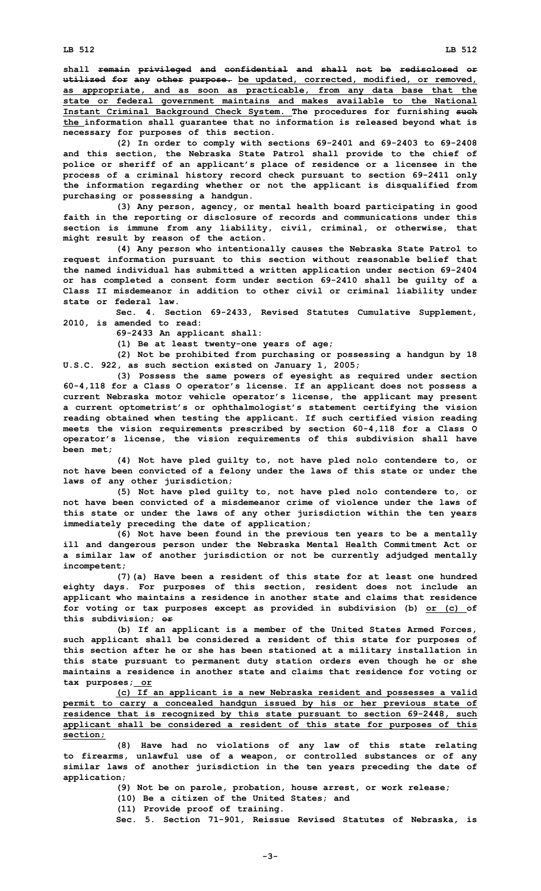**shall remain privileged and confidential and shall not be redisclosed or utilized for any other purpose. be updated, corrected, modified, or removed, as appropriate, and as soon as practicable, from any data base that the state or federal government maintains and makes available to the National Instant Criminal Background Check System. The procedures for furnishing such the information shall guarantee that no information is released beyond what is necessary for purposes of this section.**

**(2) In order to comply with sections 69-2401 and 69-2403 to 69-2408 and this section, the Nebraska State Patrol shall provide to the chief of police or sheriff of an applicant's place of residence or <sup>a</sup> licensee in the process of <sup>a</sup> criminal history record check pursuant to section 69-2411 only the information regarding whether or not the applicant is disqualified from purchasing or possessing <sup>a</sup> handgun.**

**(3) Any person, agency, or mental health board participating in good faith in the reporting or disclosure of records and communications under this section is immune from any liability, civil, criminal, or otherwise, that might result by reason of the action.**

**(4) Any person who intentionally causes the Nebraska State Patrol to request information pursuant to this section without reasonable belief that the named individual has submitted <sup>a</sup> written application under section 69-2404 or has completed <sup>a</sup> consent form under section 69-2410 shall be guilty of <sup>a</sup> Class II misdemeanor in addition to other civil or criminal liability under state or federal law.**

**Sec. 4. Section 69-2433, Revised Statutes Cumulative Supplement, 2010, is amended to read:**

**69-2433 An applicant shall:**

**(1) Be at least twenty-one years of age;**

**(2) Not be prohibited from purchasing or possessing <sup>a</sup> handgun by 18 U.S.C. 922, as such section existed on January 1, 2005;**

**(3) Possess the same powers of eyesight as required under section 60-4,118 for <sup>a</sup> Class O operator's license. If an applicant does not possess <sup>a</sup> current Nebraska motor vehicle operator's license, the applicant may present <sup>a</sup> current optometrist's or ophthalmologist's statement certifying the vision reading obtained when testing the applicant. If such certified vision reading meets the vision requirements prescribed by section 60-4,118 for <sup>a</sup> Class O operator's license, the vision requirements of this subdivision shall have been met;**

**(4) Not have pled guilty to, not have pled nolo contendere to, or not have been convicted of <sup>a</sup> felony under the laws of this state or under the laws of any other jurisdiction;**

**(5) Not have pled guilty to, not have pled nolo contendere to, or not have been convicted of a misdemeanor crime of violence under the laws of this state or under the laws of any other jurisdiction within the ten years immediately preceding the date of application;**

**(6) Not have been found in the previous ten years to be <sup>a</sup> mentally ill and dangerous person under the Nebraska Mental Health Commitment Act or <sup>a</sup> similar law of another jurisdiction or not be currently adjudged mentally incompetent;**

**(7)(a) Have been <sup>a</sup> resident of this state for at least one hundred eighty days. For purposes of this section, resident does not include an applicant who maintains <sup>a</sup> residence in another state and claims that residence for voting or tax purposes except as provided in subdivision (b) or (c) of this subdivision; or**

**(b) If an applicant is <sup>a</sup> member of the United States Armed Forces, such applicant shall be considered <sup>a</sup> resident of this state for purposes of this section after he or she has been stationed at <sup>a</sup> military installation in this state pursuant to permanent duty station orders even though he or she maintains <sup>a</sup> residence in another state and claims that residence for voting or tax purposes; or**

**(c) If an applicant is <sup>a</sup> new Nebraska resident and possesses <sup>a</sup> valid permit to carry <sup>a</sup> concealed handgun issued by his or her previous state of residence that is recognized by this state pursuant to section 69-2448, such applicant shall be considered <sup>a</sup> resident of this state for purposes of this section;**

**(8) Have had no violations of any law of this state relating to firearms, unlawful use of <sup>a</sup> weapon, or controlled substances or of any similar laws of another jurisdiction in the ten years preceding the date of application;**

**(9) Not be on parole, probation, house arrest, or work release;**

**(10) Be <sup>a</sup> citizen of the United States; and**

**(11) Provide proof of training.**

**Sec. 5. Section 71-901, Reissue Revised Statutes of Nebraska, is**